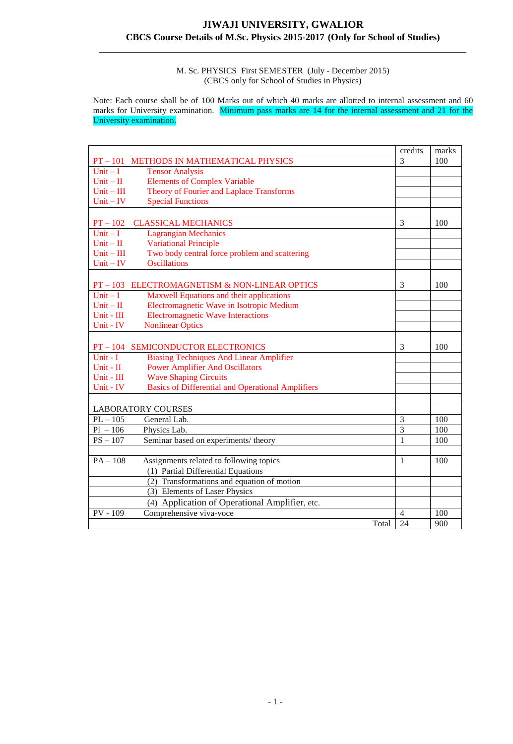#### M. Sc. PHYSICS First SEMESTER (July - December 2015) (CBCS only for School of Studies in Physics)

Note: Each course shall be of 100 Marks out of which 40 marks are allotted to internal assessment and 60 marks for University examination. Minimum pass marks are 14 for the internal assessment and 21 for the University examination.

|                                                                       |       | credits        | marks |
|-----------------------------------------------------------------------|-------|----------------|-------|
| $PT - 101$<br>METHODS IN MATHEMATICAL PHYSICS                         |       | 3              | 100   |
| $Unit - I$<br><b>Tensor Analysis</b>                                  |       |                |       |
| <b>Elements of Complex Variable</b><br>$Unit - II$                    |       |                |       |
| Theory of Fourier and Laplace Transforms<br>$Unit - III$              |       |                |       |
| <b>Special Functions</b><br>$Unit - IV$                               |       |                |       |
|                                                                       |       |                |       |
| $PT - 102$<br><b>CLASSICAL MECHANICS</b>                              |       | 3              | 100   |
| $Unit - I$<br><b>Lagrangian Mechanics</b>                             |       |                |       |
| <b>Variational Principle</b><br>$Unit - II$                           |       |                |       |
| Two body central force problem and scattering<br>$Unit - III$         |       |                |       |
| <b>Oscillations</b><br>$Unit - IV$                                    |       |                |       |
|                                                                       |       |                |       |
| $PT - 103$<br>ELECTROMAGNETISM & NON-LINEAR OPTICS                    |       | 3              | 100   |
| $Unit - I$<br>Maxwell Equations and their applications                |       |                |       |
| Electromagnetic Wave in Isotropic Medium<br>$Unit - II$               |       |                |       |
| <b>Electromagnetic Wave Interactions</b><br>Unit - III                |       |                |       |
| Unit - IV<br><b>Nonlinear Optics</b>                                  |       |                |       |
|                                                                       |       |                |       |
| SEMICONDUCTOR ELECTRONICS<br>$PT - 104$                               |       | 3              | 100   |
| <b>Biasing Techniques And Linear Amplifier</b><br>Unit - I            |       |                |       |
| <b>Power Amplifier And Oscillators</b><br>Unit - $\mathbf{II}$        |       |                |       |
| <b>Wave Shaping Circuits</b><br>Unit - III                            |       |                |       |
| <b>Basics of Differential and Operational Amplifiers</b><br>Unit - IV |       |                |       |
|                                                                       |       |                |       |
| <b>LABORATORY COURSES</b>                                             |       |                |       |
| $PL - 105$<br>General Lab.                                            |       | 3              | 100   |
| $Pl - 106$<br>Physics Lab.                                            |       | 3              | 100   |
| $PS - 107$<br>Seminar based on experiments/ theory                    |       | 1              | 100   |
|                                                                       |       |                |       |
| $PA - 108$<br>Assignments related to following topics                 |       | $\mathbf{1}$   | 100   |
| (1) Partial Differential Equations                                    |       |                |       |
| (2) Transformations and equation of motion                            |       |                |       |
| (3) Elements of Laser Physics                                         |       |                |       |
| (4) Application of Operational Amplifier, etc.                        |       |                |       |
| $PV - 109$<br>Comprehensive viva-voce                                 |       | $\overline{4}$ | 100   |
|                                                                       | Total | 24             | 900   |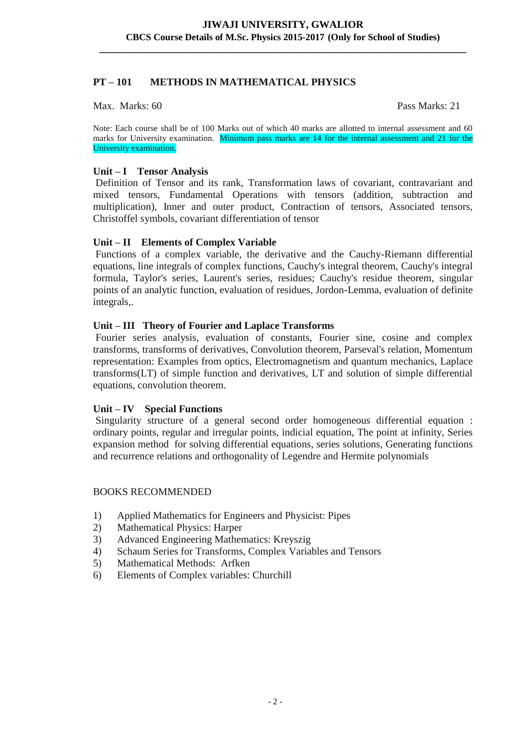# **PT – 101 METHODS IN MATHEMATICAL PHYSICS**

#### Max. Marks: 60 Pass Marks: 21

Note: Each course shall be of 100 Marks out of which 40 marks are allotted to internal assessment and 60 marks for University examination. Minimum pass marks are 14 for the internal assessment and 21 for the University examination.

## **Unit – I Tensor Analysis**

Definition of Tensor and its rank, Transformation laws of covariant, contravariant and mixed tensors, Fundamental Operations with tensors (addition, subtraction and multiplication), Inner and outer product, Contraction of tensors, Associated tensors, Christoffel symbols, covariant differentiation of tensor

## **Unit – II Elements of Complex Variable**

Functions of a complex variable, the derivative and the Cauchy-Riemann differential equations, line integrals of complex functions, Cauchy's integral theorem, Cauchy's integral formula, Taylor's series, Laurent's series, residues; Cauchy's residue theorem, singular points of an analytic function, evaluation of residues, Jordon-Lemma, evaluation of definite integrals,.

#### **Unit – III Theory of Fourier and Laplace Transforms**

Fourier series analysis, evaluation of constants, Fourier sine, cosine and complex transforms, transforms of derivatives, Convolution theorem, Parseval's relation, Momentum representation: Examples from optics, Electromagnetism and quantum mechanics, Laplace transforms(LT) of simple function and derivatives, LT and solution of simple differential equations, convolution theorem.

#### **Unit – IV Special Functions**

Singularity structure of a general second order homogeneous differential equation : ordinary points, regular and irregular points, indicial equation, The point at infinity, Series expansion method for solving differential equations, series solutions, Generating functions and recurrence relations and orthogonality of Legendre and Hermite polynomials

#### BOOKS RECOMMENDED

- 1) Applied Mathematics for Engineers and Physicist: Pipes
- 2) Mathematical Physics: Harper
- 3) Advanced Engineering Mathematics: Kreyszig
- 4) Schaum Series for Transforms, Complex Variables and Tensors
- 5) Mathematical Methods: Arfken
- 6) Elements of Complex variables: Churchill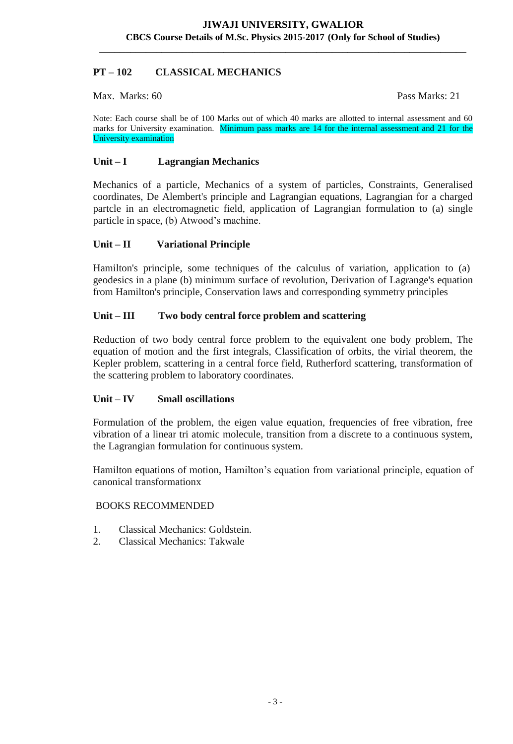# **PT – 102 CLASSICAL MECHANICS**

Max. Marks: 60 Pass Marks: 21

Note: Each course shall be of 100 Marks out of which 40 marks are allotted to internal assessment and 60 marks for University examination. Minimum pass marks are 14 for the internal assessment and 21 for the University examination

## **Unit – I Lagrangian Mechanics**

Mechanics of a particle, Mechanics of a system of particles, Constraints, Generalised coordinates, De Alembert's principle and Lagrangian equations, Lagrangian for a charged partcle in an electromagnetic field, application of Lagrangian formulation to (a) single particle in space, (b) Atwood's machine.

## **Unit – II Variational Principle**

Hamilton's principle, some techniques of the calculus of variation, application to (a) geodesics in a plane (b) minimum surface of revolution, Derivation of Lagrange's equation from Hamilton's principle, Conservation laws and corresponding symmetry principles

## **Unit – III Two body central force problem and scattering**

Reduction of two body central force problem to the equivalent one body problem, The equation of motion and the first integrals, Classification of orbits, the virial theorem, the Kepler problem, scattering in a central force field, Rutherford scattering, transformation of the scattering problem to laboratory coordinates.

#### **Unit – IV Small oscillations**

Formulation of the problem, the eigen value equation, frequencies of free vibration, free vibration of a linear tri atomic molecule, transition from a discrete to a continuous system, the Lagrangian formulation for continuous system.

Hamilton equations of motion, Hamilton's equation from variational principle, equation of canonical transformationx

#### BOOKS RECOMMENDED

- 1. Classical Mechanics: Goldstein.
- 2. Classical Mechanics: Takwale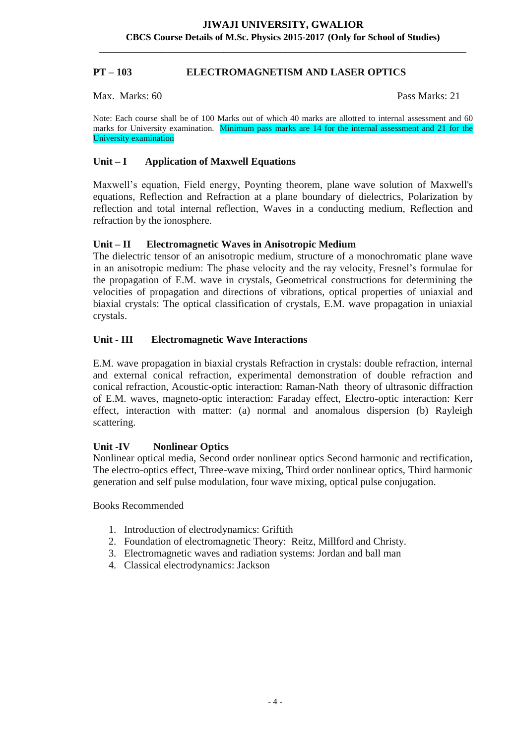## **PT – 103 ELECTROMAGNETISM AND LASER OPTICS**

Max. Marks: 60 Pass Marks: 21

Note: Each course shall be of 100 Marks out of which 40 marks are allotted to internal assessment and 60 marks for University examination. Minimum pass marks are 14 for the internal assessment and 21 for the University examination

## **Unit – I Application of Maxwell Equations**

Maxwell's equation, Field energy, Poynting theorem, plane wave solution of Maxwell's equations, Reflection and Refraction at a plane boundary of dielectrics, Polarization by reflection and total internal reflection, Waves in a conducting medium, Reflection and refraction by the ionosphere.

## **Unit – II Electromagnetic Waves in Anisotropic Medium**

The dielectric tensor of an anisotropic medium, structure of a monochromatic plane wave in an anisotropic medium: The phase velocity and the ray velocity, Fresnel's formulae for the propagation of E.M. wave in crystals, Geometrical constructions for determining the velocities of propagation and directions of vibrations, optical properties of uniaxial and biaxial crystals: The optical classification of crystals, E.M. wave propagation in uniaxial crystals.

## **Unit - III Electromagnetic Wave Interactions**

E.M. wave propagation in biaxial crystals Refraction in crystals: double refraction, internal and external conical refraction, experimental demonstration of double refraction and conical refraction, Acoustic-optic interaction: Raman-Nath theory of ultrasonic diffraction of E.M. waves, magneto-optic interaction: Faraday effect, Electro-optic interaction: Kerr effect, interaction with matter: (a) normal and anomalous dispersion (b) Rayleigh scattering.

#### **Unit -IV Nonlinear Optics**

Nonlinear optical media, Second order nonlinear optics Second harmonic and rectification, The electro-optics effect, Three-wave mixing, Third order nonlinear optics, Third harmonic generation and self pulse modulation, four wave mixing, optical pulse conjugation.

Books Recommended

- 1. Introduction of electrodynamics: Griftith
- 2. Foundation of electromagnetic Theory: Reitz, Millford and Christy.
- 3. Electromagnetic waves and radiation systems: Jordan and ball man
- 4. Classical electrodynamics: Jackson